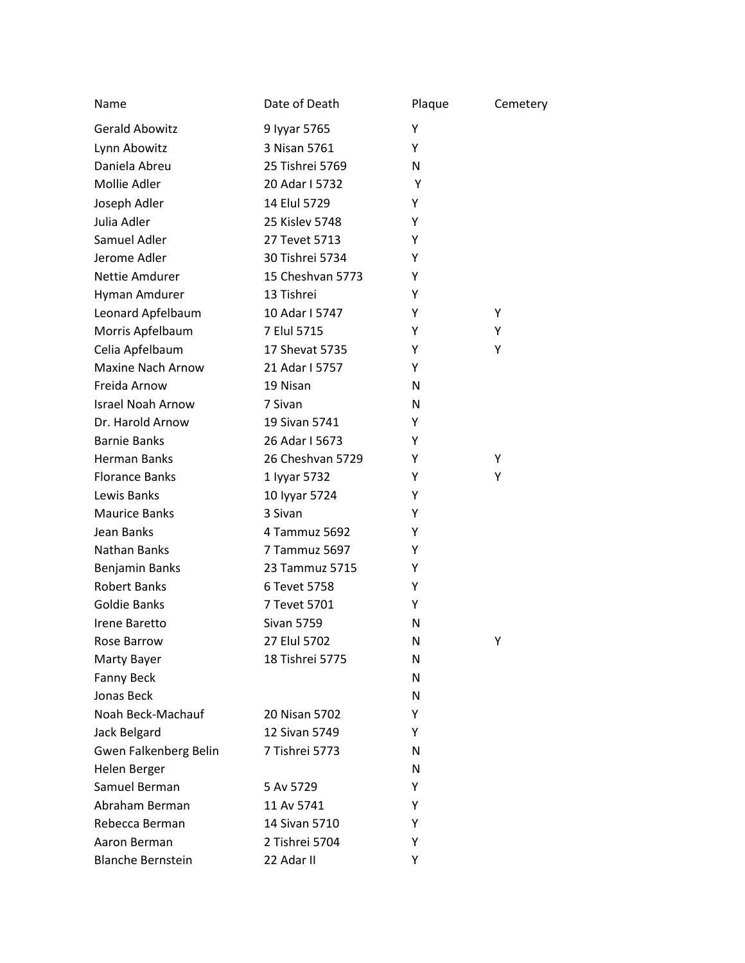| Name                     | Date of Death     | Plaque | Cemetery |
|--------------------------|-------------------|--------|----------|
| <b>Gerald Abowitz</b>    | 9 Iyyar 5765      | Y      |          |
| Lynn Abowitz             | 3 Nisan 5761      | Y      |          |
| Daniela Abreu            | 25 Tishrei 5769   | N      |          |
| Mollie Adler             | 20 Adar I 5732    | Υ      |          |
| Joseph Adler             | 14 Elul 5729      | Y      |          |
| Julia Adler              | 25 Kislev 5748    | Y      |          |
| Samuel Adler             | 27 Tevet 5713     | Y      |          |
| Jerome Adler             | 30 Tishrei 5734   | Υ      |          |
| Nettie Amdurer           | 15 Cheshvan 5773  | Y      |          |
| Hyman Amdurer            | 13 Tishrei        | Y      |          |
| Leonard Apfelbaum        | 10 Adar I 5747    | Y      | Υ        |
| Morris Apfelbaum         | 7 Elul 5715       | Y      | Y        |
| Celia Apfelbaum          | 17 Shevat 5735    | Y      | Υ        |
| Maxine Nach Arnow        | 21 Adar I 5757    | Y      |          |
| Freida Arnow             | 19 Nisan          | N      |          |
| <b>Israel Noah Arnow</b> | 7 Sivan           | N      |          |
| Dr. Harold Arnow         | 19 Sivan 5741     | Y      |          |
| <b>Barnie Banks</b>      | 26 Adar I 5673    | Y      |          |
| <b>Herman Banks</b>      | 26 Cheshvan 5729  | Υ      | Υ        |
| <b>Florance Banks</b>    | 1 Iyyar 5732      | Y      | Υ        |
| Lewis Banks              | 10 Iyyar 5724     | Y      |          |
| <b>Maurice Banks</b>     | 3 Sivan           | Y      |          |
| Jean Banks               | 4 Tammuz 5692     | Y      |          |
| Nathan Banks             | 7 Tammuz 5697     | Y      |          |
| Benjamin Banks           | 23 Tammuz 5715    | Y      |          |
| <b>Robert Banks</b>      | 6 Tevet 5758      | Y      |          |
| Goldie Banks             | 7 Tevet 5701      | Y      |          |
| Irene Baretto            | <b>Sivan 5759</b> | N      |          |
| Rose Barrow              | 27 Elul 5702      | N      | Υ        |
| Marty Bayer              | 18 Tishrei 5775   | N      |          |
| <b>Fanny Beck</b>        |                   | N      |          |
| Jonas Beck               |                   | N      |          |
| Noah Beck-Machauf        | 20 Nisan 5702     | Y      |          |
| Jack Belgard             | 12 Sivan 5749     | Y      |          |
| Gwen Falkenberg Belin    | 7 Tishrei 5773    | N      |          |
| Helen Berger             |                   | N      |          |
| Samuel Berman            | 5 Av 5729         | Y      |          |
| Abraham Berman           | 11 Av 5741        | Y      |          |
| Rebecca Berman           | 14 Sivan 5710     | Y      |          |
| Aaron Berman             | 2 Tishrei 5704    | Y      |          |
| <b>Blanche Bernstein</b> | 22 Adar II        | Y      |          |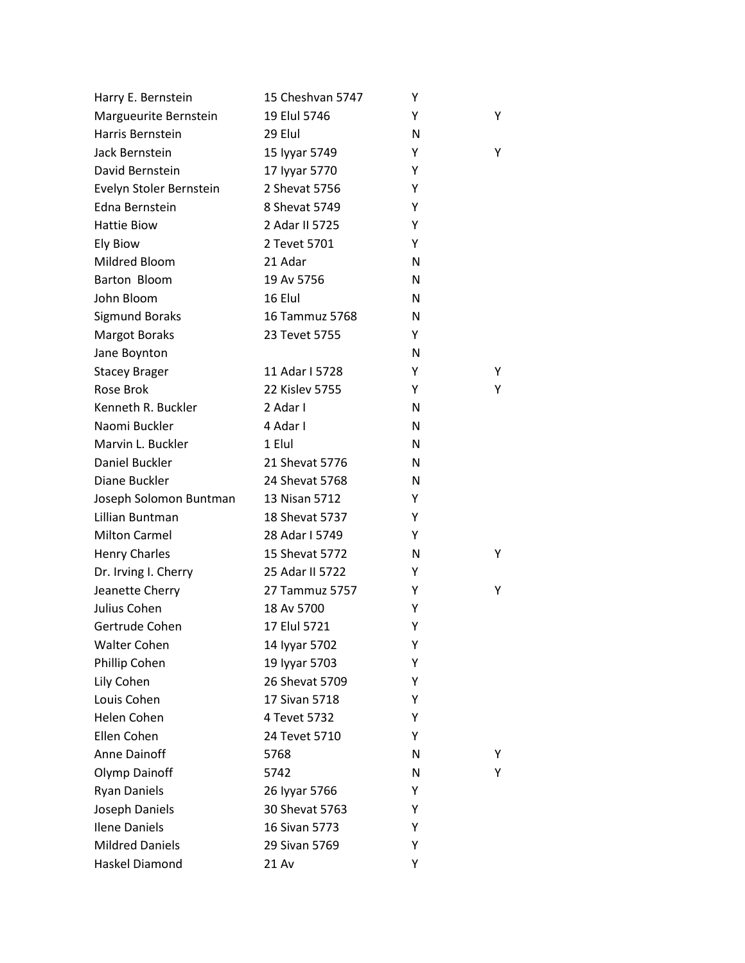| Harry E. Bernstein      | 15 Cheshvan 5747 | Υ |   |
|-------------------------|------------------|---|---|
| Margueurite Bernstein   | 19 Elul 5746     | Y | Y |
| Harris Bernstein        | 29 Elul          | N |   |
| Jack Bernstein          | 15 Iyyar 5749    | Υ | Y |
| David Bernstein         | 17 Iyyar 5770    | Y |   |
| Evelyn Stoler Bernstein | 2 Shevat 5756    | Υ |   |
| Edna Bernstein          | 8 Shevat 5749    | Y |   |
| <b>Hattie Biow</b>      | 2 Adar II 5725   | Υ |   |
| <b>Ely Biow</b>         | 2 Tevet 5701     | Y |   |
| Mildred Bloom           | 21 Adar          | N |   |
| Barton Bloom            | 19 Av 5756       | N |   |
| John Bloom              | 16 Elul          | N |   |
| <b>Sigmund Boraks</b>   | 16 Tammuz 5768   | N |   |
| <b>Margot Boraks</b>    | 23 Tevet 5755    | Y |   |
| Jane Boynton            |                  | N |   |
| <b>Stacey Brager</b>    | 11 Adar I 5728   | Υ | Υ |
| Rose Brok               | 22 Kislev 5755   | Y | Y |
| Kenneth R. Buckler      | 2 Adar I         | N |   |
| Naomi Buckler           | 4 Adar I         | N |   |
| Marvin L. Buckler       | 1 Elul           | N |   |
| Daniel Buckler          | 21 Shevat 5776   | N |   |
| Diane Buckler           | 24 Shevat 5768   | N |   |
| Joseph Solomon Buntman  | 13 Nisan 5712    | Υ |   |
| Lillian Buntman         | 18 Shevat 5737   | Y |   |
| <b>Milton Carmel</b>    | 28 Adar I 5749   | Y |   |
| <b>Henry Charles</b>    | 15 Shevat 5772   | N | Y |
| Dr. Irving I. Cherry    | 25 Adar II 5722  | Y |   |
| Jeanette Cherry         | 27 Tammuz 5757   | Y | Y |
| Julius Cohen            | 18 Av 5700       | Υ |   |
| Gertrude Cohen          | 17 Elul 5721     | Υ |   |
| <b>Walter Cohen</b>     | 14 Iyyar 5702    | Υ |   |
| Phillip Cohen           | 19 Iyyar 5703    | Υ |   |
| Lily Cohen              | 26 Shevat 5709   | Υ |   |
| Louis Cohen             | 17 Sivan 5718    | Υ |   |
| Helen Cohen             | 4 Tevet 5732     | Υ |   |
| Ellen Cohen             | 24 Tevet 5710    | Υ |   |
| <b>Anne Dainoff</b>     | 5768             | N | Y |
| Olymp Dainoff           | 5742             | N | Y |
| <b>Ryan Daniels</b>     | 26 Iyyar 5766    | Υ |   |
| Joseph Daniels          | 30 Shevat 5763   | Υ |   |
| <b>Ilene Daniels</b>    | 16 Sivan 5773    | Υ |   |
| <b>Mildred Daniels</b>  | 29 Sivan 5769    | Υ |   |
| Haskel Diamond          | 21 Av            | Υ |   |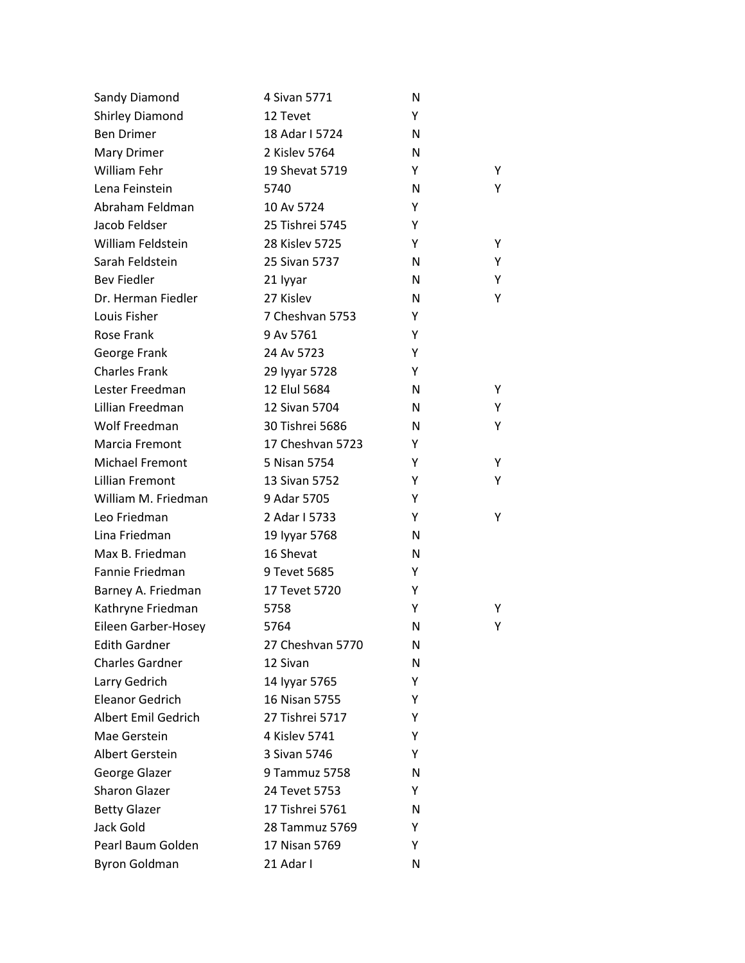| Sandy Diamond          | 4 Sivan 5771     | N |   |
|------------------------|------------------|---|---|
| Shirley Diamond        | 12 Tevet         | Y |   |
| <b>Ben Drimer</b>      | 18 Adar I 5724   | N |   |
| Mary Drimer            | 2 Kislev 5764    | N |   |
| William Fehr           | 19 Shevat 5719   | Y | Υ |
| Lena Feinstein         | 5740             | N | Υ |
| Abraham Feldman        | 10 Av 5724       | Υ |   |
| Jacob Feldser          | 25 Tishrei 5745  | Υ |   |
| William Feldstein      | 28 Kislev 5725   | Y | Υ |
| Sarah Feldstein        | 25 Sivan 5737    | N | Υ |
| <b>Bev Fiedler</b>     | 21 lyyar         | N | Υ |
| Dr. Herman Fiedler     | 27 Kislev        | N | Υ |
| Louis Fisher           | 7 Cheshvan 5753  | Y |   |
| Rose Frank             | 9 Av 5761        | Y |   |
| George Frank           | 24 Av 5723       | Υ |   |
| <b>Charles Frank</b>   | 29 Iyyar 5728    | Υ |   |
| Lester Freedman        | 12 Elul 5684     | N | Υ |
| Lillian Freedman       | 12 Sivan 5704    | N | Υ |
| Wolf Freedman          | 30 Tishrei 5686  | N | Υ |
| Marcia Fremont         | 17 Cheshvan 5723 | Υ |   |
| Michael Fremont        | 5 Nisan 5754     | Y | Υ |
| Lillian Fremont        | 13 Sivan 5752    | Υ | Υ |
| William M. Friedman    | 9 Adar 5705      | Υ |   |
| Leo Friedman           | 2 Adar I 5733    | Y | Υ |
| Lina Friedman          | 19 Iyyar 5768    | N |   |
| Max B. Friedman        | 16 Shevat        | N |   |
| Fannie Friedman        | 9 Tevet 5685     | Υ |   |
| Barney A. Friedman     | 17 Tevet 5720    | Υ |   |
| Kathryne Friedman      | 5758             | Y | Υ |
| Eileen Garber-Hosey    | 5764             | N | Υ |
| <b>Edith Gardner</b>   | 27 Cheshvan 5770 | N |   |
| <b>Charles Gardner</b> | 12 Sivan         | N |   |
| Larry Gedrich          | 14 Iyyar 5765    | Y |   |
| <b>Eleanor Gedrich</b> | 16 Nisan 5755    | Υ |   |
| Albert Emil Gedrich    | 27 Tishrei 5717  | Y |   |
| Mae Gerstein           | 4 Kislev 5741    | Υ |   |
| Albert Gerstein        | 3 Sivan 5746     | Y |   |
| George Glazer          | 9 Tammuz 5758    | N |   |
| <b>Sharon Glazer</b>   | 24 Tevet 5753    | Y |   |
| <b>Betty Glazer</b>    | 17 Tishrei 5761  | N |   |
| Jack Gold              | 28 Tammuz 5769   | Y |   |
| Pearl Baum Golden      | 17 Nisan 5769    | Y |   |
| <b>Byron Goldman</b>   | 21 Adar I        | N |   |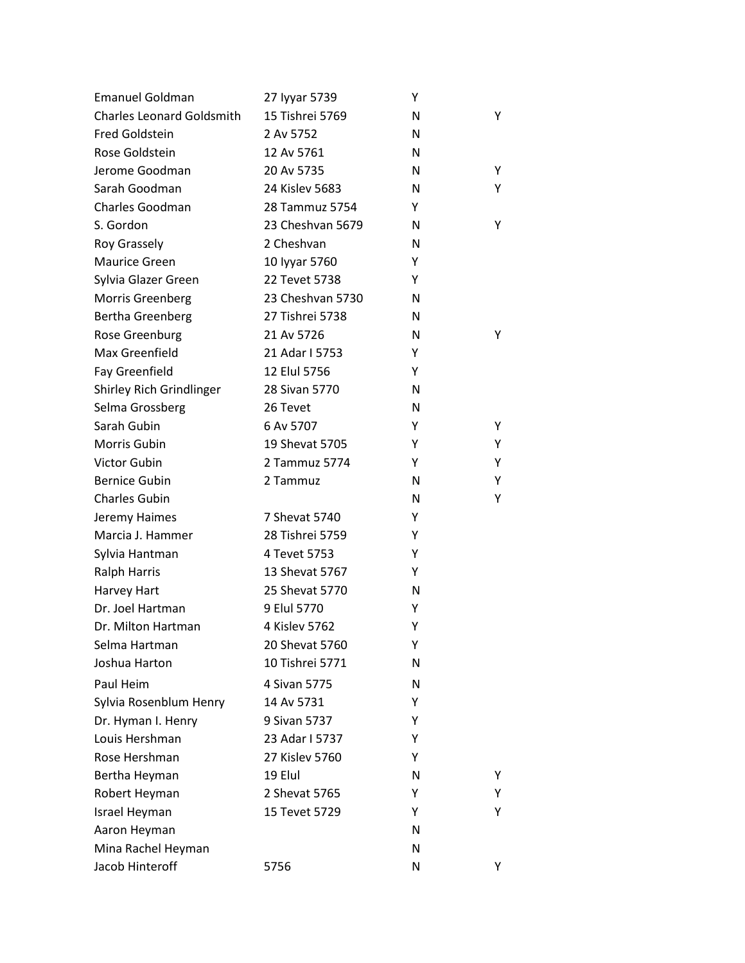| <b>Emanuel Goldman</b>           | 27 Iyyar 5739    | Υ |    |
|----------------------------------|------------------|---|----|
| <b>Charles Leonard Goldsmith</b> | 15 Tishrei 5769  | N | Y  |
| <b>Fred Goldstein</b>            | 2 Av 5752        | N |    |
| Rose Goldstein                   | 12 Av 5761       | N |    |
| Jerome Goodman                   | 20 Av 5735       | N | Y  |
| Sarah Goodman                    | 24 Kislev 5683   | N | Y  |
| Charles Goodman                  | 28 Tammuz 5754   | Y |    |
| S. Gordon                        | 23 Cheshvan 5679 | N | Υ  |
| <b>Roy Grassely</b>              | 2 Cheshvan       | N |    |
| Maurice Green                    | 10 Iyyar 5760    | Y |    |
| Sylvia Glazer Green              | 22 Tevet 5738    | Y |    |
| Morris Greenberg                 | 23 Cheshvan 5730 | N |    |
| Bertha Greenberg                 | 27 Tishrei 5738  | N |    |
| Rose Greenburg                   | 21 Av 5726       | N | Y  |
| Max Greenfield                   | 21 Adar I 5753   | Y |    |
| Fay Greenfield                   | 12 Elul 5756     | Υ |    |
| Shirley Rich Grindlinger         | 28 Sivan 5770    | N |    |
| Selma Grossberg                  | 26 Tevet         | N |    |
| Sarah Gubin                      | 6 Av 5707        | Y | Υ  |
| Morris Gubin                     | 19 Shevat 5705   | Υ | Υ  |
| <b>Victor Gubin</b>              | 2 Tammuz 5774    | Υ | Y  |
| <b>Bernice Gubin</b>             | 2 Tammuz         | N | Y  |
| <b>Charles Gubin</b>             |                  | N | Υ  |
| Jeremy Haimes                    | 7 Shevat 5740    | Υ |    |
| Marcia J. Hammer                 | 28 Tishrei 5759  | Υ |    |
| Sylvia Hantman                   | 4 Tevet 5753     | Υ |    |
| <b>Ralph Harris</b>              | 13 Shevat 5767   | Y |    |
| Harvey Hart                      | 25 Shevat 5770   | N |    |
| Dr. Joel Hartman                 | 9 Elul 5770      | Υ |    |
| Dr. Milton Hartman               | 4 Kislev 5762    | Υ |    |
| Selma Hartman                    | 20 Shevat 5760   | Y |    |
| Joshua Harton                    | 10 Tishrei 5771  | N |    |
| Paul Heim                        | 4 Sivan 5775     | N |    |
| Sylvia Rosenblum Henry           | 14 Av 5731       | Y |    |
| Dr. Hyman I. Henry               | 9 Sivan 5737     | Y |    |
| Louis Hershman                   | 23 Adar I 5737   | Y |    |
| Rose Hershman                    | 27 Kislev 5760   | Y |    |
| Bertha Heyman                    | 19 Elul          | N | Y  |
| Robert Heyman                    | 2 Shevat 5765    | Y | Y  |
| Israel Heyman                    | 15 Tevet 5729    | Y | Y  |
| Aaron Heyman                     |                  | N |    |
| Mina Rachel Heyman               |                  | N |    |
| Jacob Hinteroff                  | 5756             | N | Y. |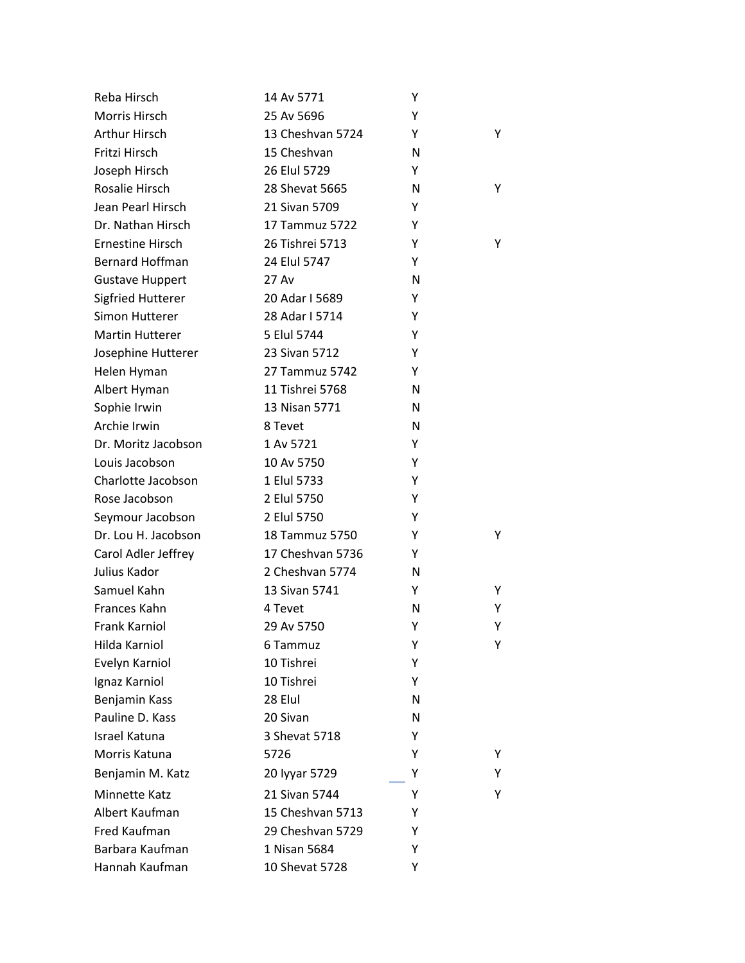| Reba Hirsch              | 14 Av 5771       | Υ |   |
|--------------------------|------------------|---|---|
| Morris Hirsch            | 25 Av 5696       | Υ |   |
| Arthur Hirsch            | 13 Cheshvan 5724 | Y | Y |
| Fritzi Hirsch            | 15 Cheshvan      | N |   |
| Joseph Hirsch            | 26 Elul 5729     | Y |   |
| Rosalie Hirsch           | 28 Shevat 5665   | N | Y |
| Jean Pearl Hirsch        | 21 Sivan 5709    | Y |   |
| Dr. Nathan Hirsch        | 17 Tammuz 5722   | Υ |   |
| Ernestine Hirsch         | 26 Tishrei 5713  | Y | Y |
| <b>Bernard Hoffman</b>   | 24 Elul 5747     | Y |   |
| <b>Gustave Huppert</b>   | 27 Av            | N |   |
| <b>Sigfried Hutterer</b> | 20 Adar I 5689   | Υ |   |
| Simon Hutterer           | 28 Adar I 5714   | Υ |   |
| <b>Martin Hutterer</b>   | 5 Elul 5744      | Υ |   |
| Josephine Hutterer       | 23 Sivan 5712    | Υ |   |
| Helen Hyman              | 27 Tammuz 5742   | Y |   |
| Albert Hyman             | 11 Tishrei 5768  | N |   |
| Sophie Irwin             | 13 Nisan 5771    | N |   |
| Archie Irwin             | 8 Tevet          | N |   |
| Dr. Moritz Jacobson      | 1 Av 5721        | Υ |   |
| Louis Jacobson           | 10 Av 5750       | Υ |   |
| Charlotte Jacobson       | 1 Elul 5733      | Υ |   |
| Rose Jacobson            | 2 Elul 5750      | Υ |   |
| Seymour Jacobson         | 2 Elul 5750      | Υ |   |
| Dr. Lou H. Jacobson      | 18 Tammuz 5750   | Y | Y |
| Carol Adler Jeffrey      | 17 Cheshvan 5736 | Υ |   |
| Julius Kador             | 2 Cheshvan 5774  | N |   |
| Samuel Kahn              | 13 Sivan 5741    | Y | Y |
| Frances Kahn             | 4 Tevet          | N | Y |
| <b>Frank Karniol</b>     | 29 Av 5750       | Υ | Υ |
| Hilda Karniol            | 6 Tammuz         | Υ | Y |
| Evelyn Karniol           | 10 Tishrei       | Υ |   |
| Ignaz Karniol            | 10 Tishrei       | Y |   |
| Benjamin Kass            | 28 Elul          | N |   |
| Pauline D. Kass          | 20 Sivan         | N |   |
| Israel Katuna            | 3 Shevat 5718    | Υ |   |
| Morris Katuna            | 5726             | Y | Y |
| Benjamin M. Katz         | 20 Iyyar 5729    | Υ | Υ |
| Minnette Katz            | 21 Sivan 5744    | Y | Y |
| Albert Kaufman           | 15 Cheshvan 5713 | Y |   |
| Fred Kaufman             | 29 Cheshvan 5729 | Y |   |
| Barbara Kaufman          | 1 Nisan 5684     | Y |   |
| Hannah Kaufman           | 10 Shevat 5728   | Y |   |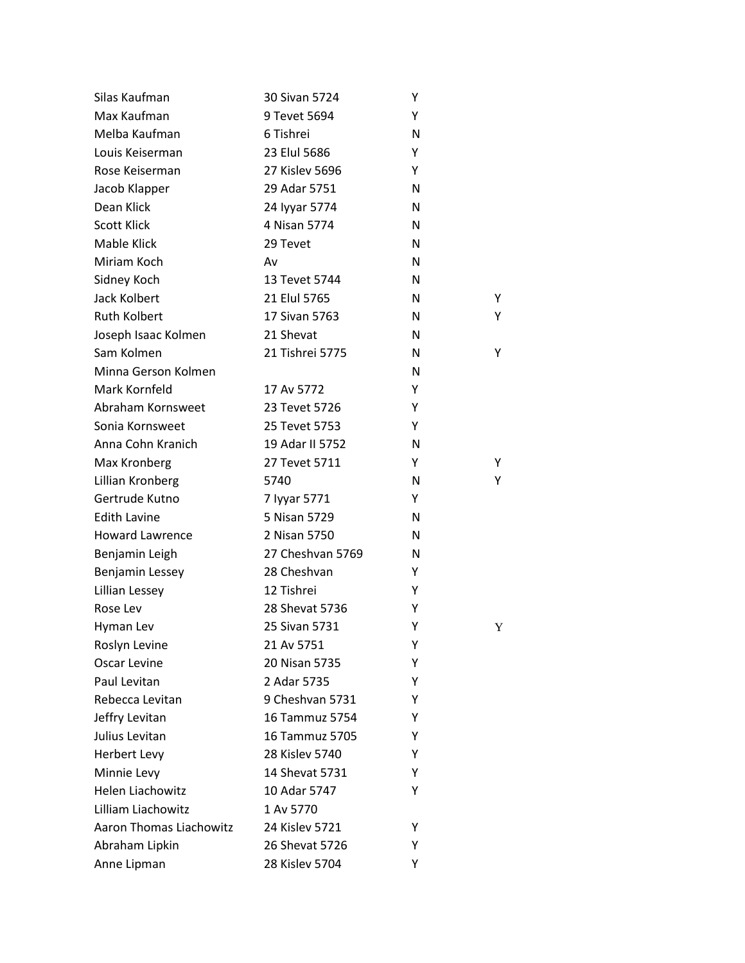| Silas Kaufman                  | 30 Sivan 5724    | Υ |   |
|--------------------------------|------------------|---|---|
| Max Kaufman                    | 9 Tevet 5694     | Υ |   |
| Melba Kaufman                  | 6 Tishrei        | N |   |
| Louis Keiserman                | 23 Elul 5686     | Υ |   |
| Rose Keiserman                 | 27 Kislev 5696   | Y |   |
| Jacob Klapper                  | 29 Adar 5751     | N |   |
| Dean Klick                     | 24 Iyyar 5774    | N |   |
| <b>Scott Klick</b>             | 4 Nisan 5774     | N |   |
| Mable Klick                    | 29 Tevet         | N |   |
| Miriam Koch                    | Av               | N |   |
| Sidney Koch                    | 13 Tevet 5744    | N |   |
| Jack Kolbert                   | 21 Elul 5765     | N | Y |
| <b>Ruth Kolbert</b>            | 17 Sivan 5763    | N | Y |
| Joseph Isaac Kolmen            | 21 Shevat        | N |   |
| Sam Kolmen                     | 21 Tishrei 5775  | N | Υ |
| Minna Gerson Kolmen            |                  | N |   |
| Mark Kornfeld                  | 17 Av 5772       | Y |   |
| Abraham Kornsweet              | 23 Tevet 5726    | Y |   |
| Sonia Kornsweet                | 25 Tevet 5753    | Υ |   |
| Anna Cohn Kranich              | 19 Adar II 5752  | N |   |
| Max Kronberg                   | 27 Tevet 5711    | Y | Y |
| Lillian Kronberg               | 5740             | N | Y |
| Gertrude Kutno                 | 7 Iyyar 5771     | Y |   |
| <b>Edith Lavine</b>            | 5 Nisan 5729     | N |   |
| <b>Howard Lawrence</b>         | 2 Nisan 5750     | N |   |
| Benjamin Leigh                 | 27 Cheshvan 5769 | N |   |
| Benjamin Lessey                | 28 Cheshvan      | Υ |   |
| Lillian Lessey                 | 12 Tishrei       | Y |   |
| Rose Lev                       | 28 Shevat 5736   | Υ |   |
| Hyman Lev                      | 25 Sivan 5731    | Υ | Y |
| Roslyn Levine                  | 21 Av 5751       | Υ |   |
| Oscar Levine                   | 20 Nisan 5735    | Υ |   |
| Paul Levitan                   | 2 Adar 5735      | Υ |   |
| Rebecca Levitan                | 9 Cheshvan 5731  | Υ |   |
| Jeffry Levitan                 | 16 Tammuz 5754   | Y |   |
| Julius Levitan                 | 16 Tammuz 5705   | Y |   |
| <b>Herbert Levy</b>            | 28 Kislev 5740   | Y |   |
| Minnie Levy                    | 14 Shevat 5731   | Υ |   |
| <b>Helen Liachowitz</b>        | 10 Adar 5747     | Y |   |
| Lilliam Liachowitz             | 1 Av 5770        |   |   |
| <b>Aaron Thomas Liachowitz</b> | 24 Kislev 5721   | Y |   |
| Abraham Lipkin                 | 26 Shevat 5726   | Υ |   |
| Anne Lipman                    | 28 Kislev 5704   | Y |   |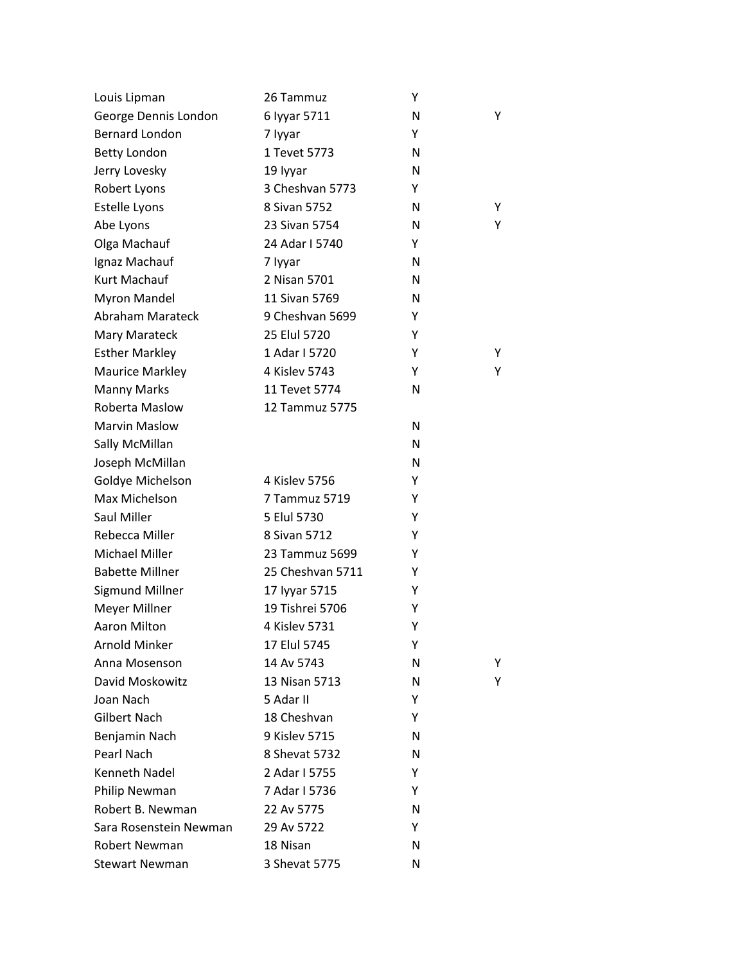| Louis Lipman           | 26 Tammuz        | Y |   |
|------------------------|------------------|---|---|
| George Dennis London   | 6 Iyyar 5711     | N | Y |
| <b>Bernard London</b>  | 7 lyyar          | Y |   |
| <b>Betty London</b>    | 1 Tevet 5773     | N |   |
| Jerry Lovesky          | 19 lyyar         | N |   |
| Robert Lyons           | 3 Cheshvan 5773  | Y |   |
| Estelle Lyons          | 8 Sivan 5752     | N | Y |
| Abe Lyons              | 23 Sivan 5754    | N | Y |
| Olga Machauf           | 24 Adar I 5740   | Y |   |
| Ignaz Machauf          | 7 lyyar          | N |   |
| Kurt Machauf           | 2 Nisan 5701     | N |   |
| <b>Myron Mandel</b>    | 11 Sivan 5769    | N |   |
| Abraham Marateck       | 9 Cheshvan 5699  | Y |   |
| Mary Marateck          | 25 Elul 5720     | Υ |   |
| <b>Esther Markley</b>  | 1 Adar I 5720    | Y | Y |
| <b>Maurice Markley</b> | 4 Kislev 5743    | Υ | Y |
| <b>Manny Marks</b>     | 11 Tevet 5774    | N |   |
| Roberta Maslow         | 12 Tammuz 5775   |   |   |
| <b>Marvin Maslow</b>   |                  | N |   |
| Sally McMillan         |                  | N |   |
| Joseph McMillan        |                  | N |   |
| Goldye Michelson       | 4 Kislev 5756    | Y |   |
| Max Michelson          | 7 Tammuz 5719    | Y |   |
| Saul Miller            | 5 Elul 5730      | Υ |   |
| Rebecca Miller         | 8 Sivan 5712     | Y |   |
| Michael Miller         | 23 Tammuz 5699   | Υ |   |
| <b>Babette Millner</b> | 25 Cheshvan 5711 | Y |   |
| Sigmund Millner        | 17 Iyyar 5715    | Y |   |
| Meyer Millner          | 19 Tishrei 5706  | Y |   |
| <b>Aaron Milton</b>    | 4 Kislev 5731    | Y |   |
| <b>Arnold Minker</b>   | 17 Elul 5745     | Y |   |
| Anna Mosenson          | 14 Av 5743       | N | Y |
| David Moskowitz        | 13 Nisan 5713    | N | Y |
| Joan Nach              | 5 Adar II        | Y |   |
| Gilbert Nach           | 18 Cheshvan      | Y |   |
| Benjamin Nach          | 9 Kislev 5715    | N |   |
| Pearl Nach             | 8 Shevat 5732    | N |   |
| Kenneth Nadel          | 2 Adar I 5755    | Y |   |
| Philip Newman          | 7 Adar I 5736    | Y |   |
| Robert B. Newman       | 22 Av 5775       | N |   |
| Sara Rosenstein Newman | 29 Av 5722       | Y |   |
| <b>Robert Newman</b>   | 18 Nisan         | N |   |
| <b>Stewart Newman</b>  | 3 Shevat 5775    | N |   |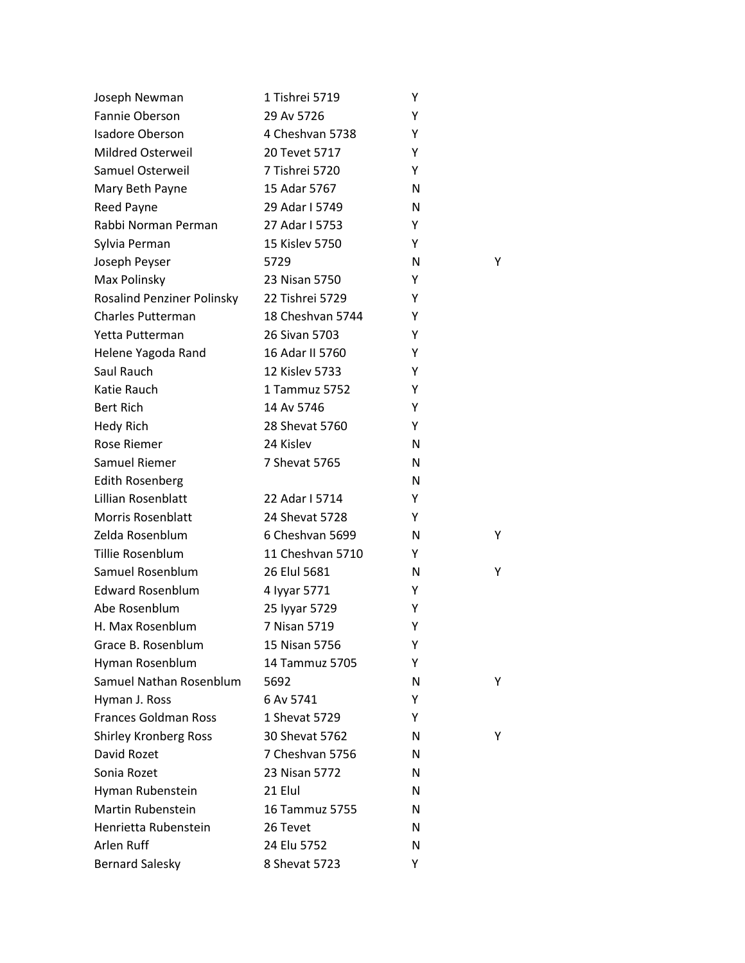| Joseph Newman                     | 1 Tishrei 5719   | Υ |   |
|-----------------------------------|------------------|---|---|
| Fannie Oberson                    | 29 Av 5726       | Υ |   |
| <b>Isadore Oberson</b>            | 4 Cheshvan 5738  | Υ |   |
| <b>Mildred Osterweil</b>          | 20 Tevet 5717    | Υ |   |
| Samuel Osterweil                  | 7 Tishrei 5720   | Y |   |
| Mary Beth Payne                   | 15 Adar 5767     | N |   |
| Reed Payne                        | 29 Adar I 5749   | N |   |
| Rabbi Norman Perman               | 27 Adar I 5753   | Y |   |
| Sylvia Perman                     | 15 Kislev 5750   | Y |   |
| Joseph Peyser                     | 5729             | N | Y |
| Max Polinsky                      | 23 Nisan 5750    | Y |   |
| <b>Rosalind Penziner Polinsky</b> | 22 Tishrei 5729  | Υ |   |
| <b>Charles Putterman</b>          | 18 Cheshvan 5744 | Y |   |
| Yetta Putterman                   | 26 Sivan 5703    | Υ |   |
| Helene Yagoda Rand                | 16 Adar II 5760  | Υ |   |
| Saul Rauch                        | 12 Kislev 5733   | Υ |   |
| Katie Rauch                       | 1 Tammuz 5752    | Y |   |
| <b>Bert Rich</b>                  | 14 Av 5746       | Υ |   |
| <b>Hedy Rich</b>                  | 28 Shevat 5760   | Y |   |
| <b>Rose Riemer</b>                | 24 Kislev        | N |   |
| Samuel Riemer                     | 7 Shevat 5765    | N |   |
| <b>Edith Rosenberg</b>            |                  | N |   |
| Lillian Rosenblatt                | 22 Adar I 5714   | Υ |   |
| <b>Morris Rosenblatt</b>          | 24 Shevat 5728   | Y |   |
| Zelda Rosenblum                   | 6 Cheshvan 5699  | N | Y |
| Tillie Rosenblum                  | 11 Cheshvan 5710 | Y |   |
| Samuel Rosenblum                  | 26 Elul 5681     | N | Υ |
| <b>Edward Rosenblum</b>           | 4 Iyyar 5771     | Y |   |
| Abe Rosenblum                     | 25 Iyyar 5729    | Υ |   |
| H. Max Rosenblum                  | 7 Nisan 5719     | Υ |   |
| Grace B. Rosenblum                | 15 Nisan 5756    | Υ |   |
| Hyman Rosenblum                   | 14 Tammuz 5705   | Υ |   |
| Samuel Nathan Rosenblum           | 5692             | N | Y |
| Hyman J. Ross                     | 6 Av 5741        | Y |   |
| <b>Frances Goldman Ross</b>       | 1 Shevat 5729    | Y |   |
| <b>Shirley Kronberg Ross</b>      | 30 Shevat 5762   | N | Y |
| David Rozet                       | 7 Cheshvan 5756  | N |   |
| Sonia Rozet                       | 23 Nisan 5772    | N |   |
| Hyman Rubenstein                  | 21 Elul          | N |   |
| <b>Martin Rubenstein</b>          | 16 Tammuz 5755   | N |   |
| Henrietta Rubenstein              | 26 Tevet         | N |   |
| Arlen Ruff                        | 24 Elu 5752      | N |   |
| <b>Bernard Salesky</b>            | 8 Shevat 5723    | Y |   |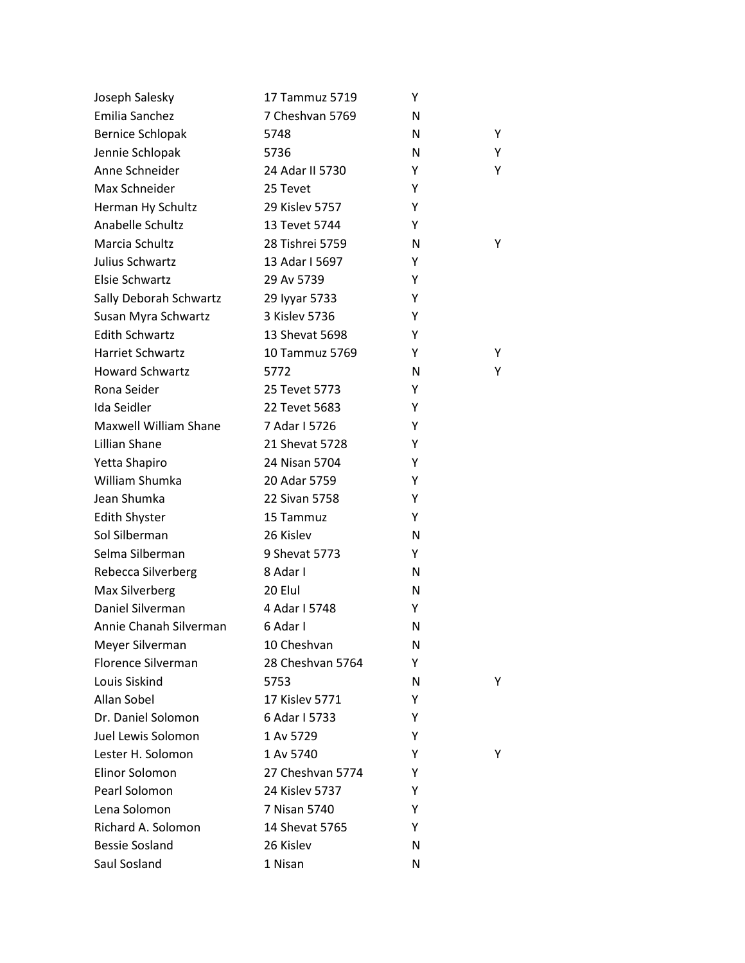| Joseph Salesky               | 17 Tammuz 5719   | Y |   |
|------------------------------|------------------|---|---|
| Emilia Sanchez               | 7 Cheshvan 5769  | N |   |
| <b>Bernice Schlopak</b>      | 5748             | N | Υ |
| Jennie Schlopak              | 5736             | N | Y |
| Anne Schneider               | 24 Adar II 5730  | Υ | Y |
| Max Schneider                | 25 Tevet         | Y |   |
| Herman Hy Schultz            | 29 Kislev 5757   | Υ |   |
| Anabelle Schultz             | 13 Tevet 5744    | Υ |   |
| Marcia Schultz               | 28 Tishrei 5759  | N | Y |
| Julius Schwartz              | 13 Adar I 5697   | Υ |   |
| Elsie Schwartz               | 29 Av 5739       | Υ |   |
| Sally Deborah Schwartz       | 29 Iyyar 5733    | Υ |   |
| Susan Myra Schwartz          | 3 Kislev 5736    | Y |   |
| <b>Edith Schwartz</b>        | 13 Shevat 5698   | Y |   |
| Harriet Schwartz             | 10 Tammuz 5769   | Y | Y |
| <b>Howard Schwartz</b>       | 5772             | N | Y |
| Rona Seider                  | 25 Tevet 5773    | Y |   |
| Ida Seidler                  | 22 Tevet 5683    | Υ |   |
| <b>Maxwell William Shane</b> | 7 Adar I 5726    | Υ |   |
| Lillian Shane                | 21 Shevat 5728   | Υ |   |
| Yetta Shapiro                | 24 Nisan 5704    | Y |   |
| William Shumka               | 20 Adar 5759     | Υ |   |
| Jean Shumka                  | 22 Sivan 5758    | Υ |   |
| <b>Edith Shyster</b>         | 15 Tammuz        | Υ |   |
| Sol Silberman                | 26 Kislev        | N |   |
| Selma Silberman              | 9 Shevat 5773    | Υ |   |
| Rebecca Silverberg           | 8 Adar I         | N |   |
| Max Silverberg               | 20 Elul          | N |   |
| Daniel Silverman             | 4 Adar I 5748    | Y |   |
| Annie Chanah Silverman       | 6 Adar I         | N |   |
| Meyer Silverman              | 10 Cheshvan      | N |   |
| <b>Florence Silverman</b>    | 28 Cheshvan 5764 | Y |   |
| Louis Siskind                | 5753             | N | Y |
| Allan Sobel                  | 17 Kislev 5771   | Υ |   |
| Dr. Daniel Solomon           | 6 Adar I 5733    | Y |   |
| Juel Lewis Solomon           | 1 Av 5729        | Y |   |
| Lester H. Solomon            | 1 Av 5740        | Υ | Y |
| Elinor Solomon               | 27 Cheshvan 5774 | Y |   |
| Pearl Solomon                | 24 Kislev 5737   | Y |   |
| Lena Solomon                 | 7 Nisan 5740     | Y |   |
| Richard A. Solomon           | 14 Shevat 5765   | Y |   |
| <b>Bessie Sosland</b>        | 26 Kislev        | N |   |
| Saul Sosland                 | 1 Nisan          | N |   |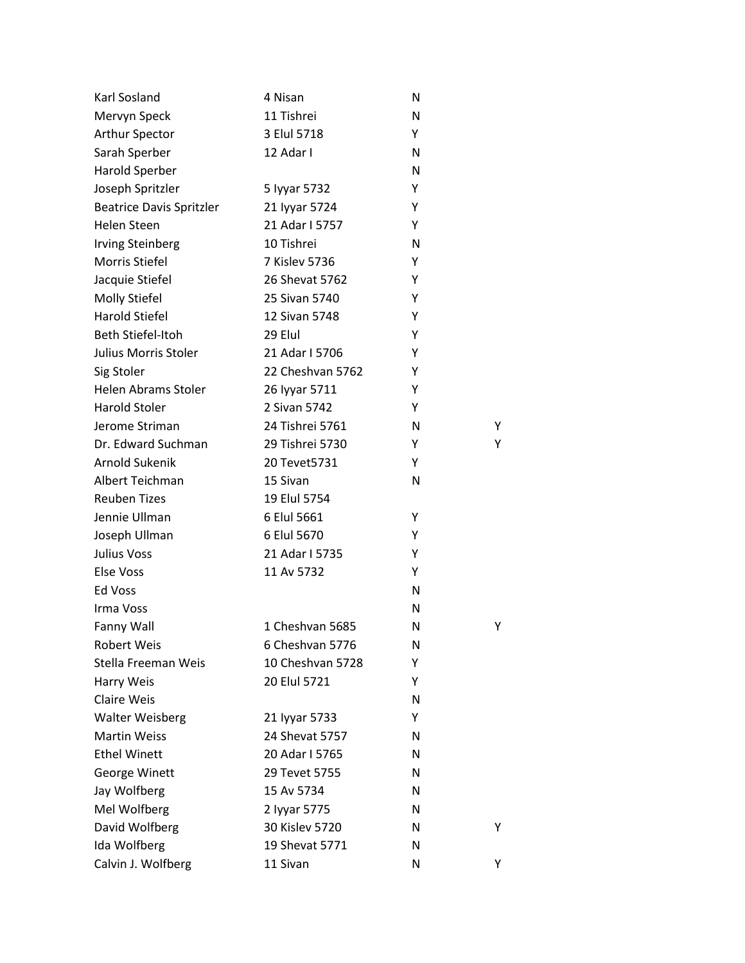| Karl Sosland                    | 4 Nisan          | N |   |
|---------------------------------|------------------|---|---|
| Mervyn Speck                    | 11 Tishrei       | N |   |
| Arthur Spector                  | 3 Elul 5718      | Υ |   |
| Sarah Sperber                   | 12 Adar I        | N |   |
| Harold Sperber                  |                  | N |   |
| Joseph Spritzler                | 5 Iyyar 5732     | Y |   |
| <b>Beatrice Davis Spritzler</b> | 21 Iyyar 5724    | Υ |   |
| Helen Steen                     | 21 Adar I 5757   | Υ |   |
| <b>Irving Steinberg</b>         | 10 Tishrei       | N |   |
| Morris Stiefel                  | 7 Kislev 5736    | Υ |   |
| Jacquie Stiefel                 | 26 Shevat 5762   | Υ |   |
| Molly Stiefel                   | 25 Sivan 5740    | Y |   |
| Harold Stiefel                  | 12 Sivan 5748    | Y |   |
| Beth Stiefel-Itoh               | 29 Elul          | Υ |   |
| Julius Morris Stoler            | 21 Adar I 5706   | Υ |   |
| Sig Stoler                      | 22 Cheshvan 5762 | Υ |   |
| Helen Abrams Stoler             | 26 Iyyar 5711    | Υ |   |
| <b>Harold Stoler</b>            | 2 Sivan 5742     | Υ |   |
| Jerome Striman                  | 24 Tishrei 5761  | N | Υ |
| Dr. Edward Suchman              | 29 Tishrei 5730  | Υ | Υ |
| Arnold Sukenik                  | 20 Tevet 5731    | Υ |   |
| Albert Teichman                 | 15 Sivan         | N |   |
| <b>Reuben Tizes</b>             | 19 Elul 5754     |   |   |
| Jennie Ullman                   | 6 Elul 5661      | Υ |   |
| Joseph Ullman                   | 6 Elul 5670      | Υ |   |
| Julius Voss                     | 21 Adar I 5735   | Υ |   |
| Else Voss                       | 11 Av 5732       | Υ |   |
| Ed Voss                         |                  | N |   |
| Irma Voss                       |                  | N |   |
| Fanny Wall                      | 1 Cheshvan 5685  | N | Υ |
| <b>Robert Weis</b>              | 6 Cheshvan 5776  | N |   |
| Stella Freeman Weis             | 10 Cheshvan 5728 | Υ |   |
| Harry Weis                      | 20 Elul 5721     | Y |   |
| <b>Claire Weis</b>              |                  | N |   |
| <b>Walter Weisberg</b>          | 21 Iyyar 5733    | Y |   |
| <b>Martin Weiss</b>             | 24 Shevat 5757   | N |   |
| <b>Ethel Winett</b>             | 20 Adar I 5765   | N |   |
| George Winett                   | 29 Tevet 5755    | N |   |
| Jay Wolfberg                    | 15 Av 5734       | N |   |
| Mel Wolfberg                    | 2 lyyar 5775     | N |   |
| David Wolfberg                  | 30 Kislev 5720   | N | Y |
| Ida Wolfberg                    | 19 Shevat 5771   | N |   |
| Calvin J. Wolfberg              | 11 Sivan         | N | Υ |